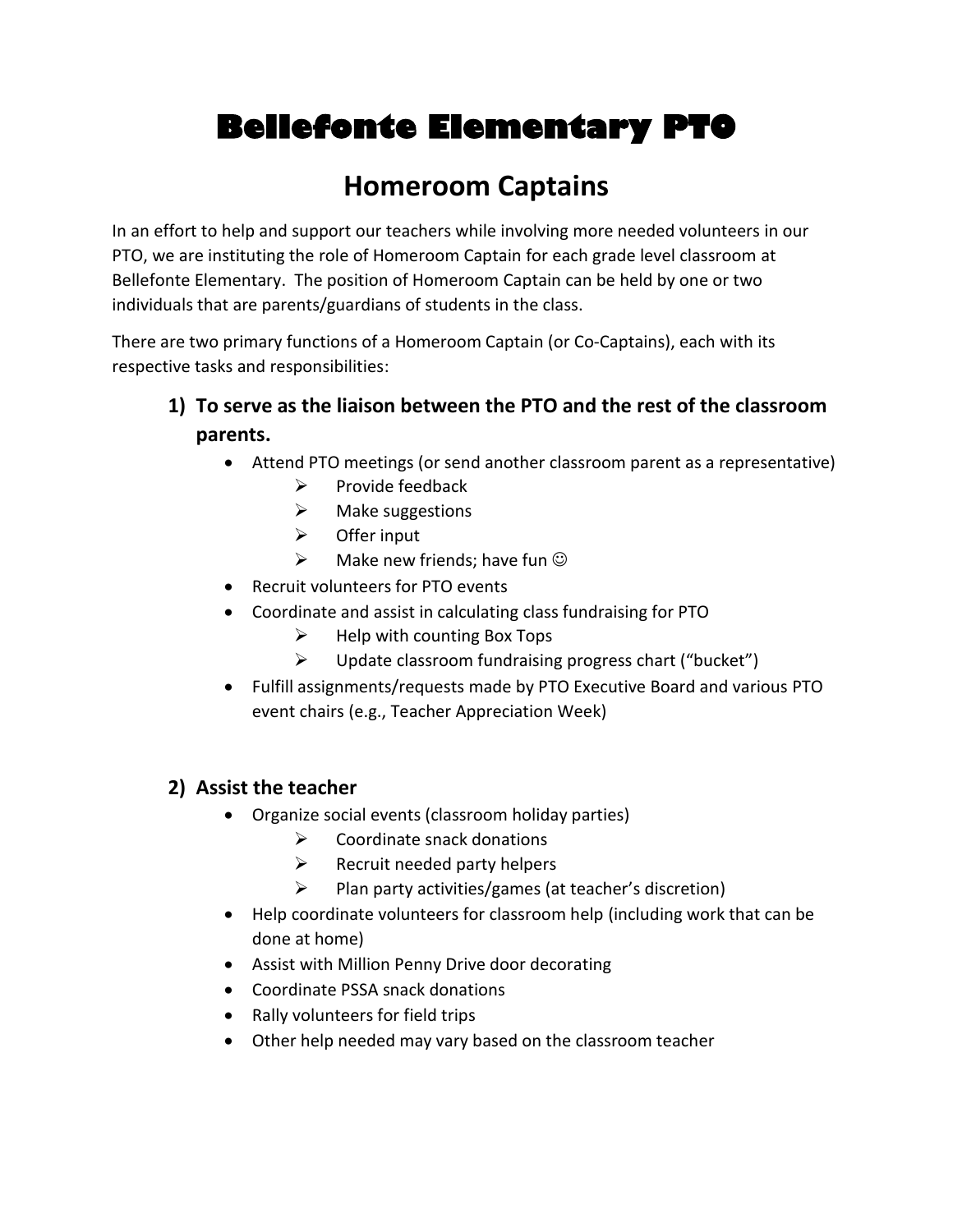# **Bellefonte Elementary PTO**

## **Homeroom Captains**

In an effort to help and support our teachers while involving more needed volunteers in our PTO, we are instituting the role of Homeroom Captain for each grade level classroom at Bellefonte Elementary. The position of Homeroom Captain can be held by one or two individuals that are parents/guardians of students in the class.

There are two primary functions of a Homeroom Captain (or Co-Captains), each with its respective tasks and responsibilities:

- **1) To serve as the liaison between the PTO and the rest of the classroom parents.** 
	- Attend PTO meetings (or send another classroom parent as a representative)
		- $\triangleright$  Provide feedback
		- $\triangleright$  Make suggestions
		- $\triangleright$  Offer input
		- $\triangleright$  Make new friends; have fun  $\odot$
	- Recruit volunteers for PTO events
	- Coordinate and assist in calculating class fundraising for PTO
		- $\triangleright$  Help with counting Box Tops
		- $\triangleright$  Update classroom fundraising progress chart ("bucket")
	- Fulfill assignments/requests made by PTO Executive Board and various PTO event chairs (e.g., Teacher Appreciation Week)

## **2) Assist the teacher**

- Organize social events (classroom holiday parties)
	- $\triangleright$  Coordinate snack donations
	- $\triangleright$  Recruit needed party helpers
	- $\triangleright$  Plan party activities/games (at teacher's discretion)
- Help coordinate volunteers for classroom help (including work that can be done at home)
- Assist with Million Penny Drive door decorating
- Coordinate PSSA snack donations
- Rally volunteers for field trips
- Other help needed may vary based on the classroom teacher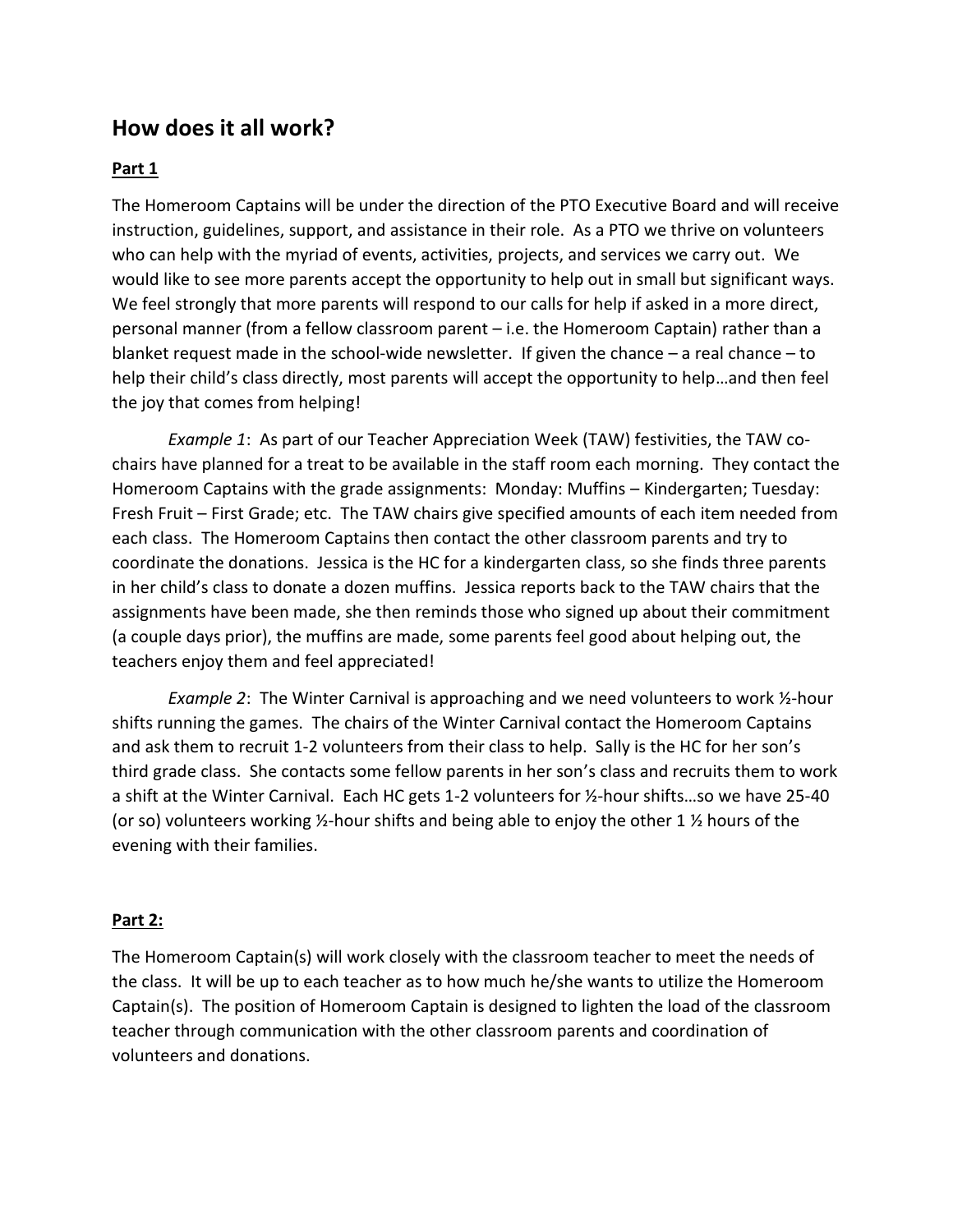## **How does it all work?**

### **Part 1**

The Homeroom Captains will be under the direction of the PTO Executive Board and will receive instruction, guidelines, support, and assistance in their role. As a PTO we thrive on volunteers who can help with the myriad of events, activities, projects, and services we carry out. We would like to see more parents accept the opportunity to help out in small but significant ways. We feel strongly that more parents will respond to our calls for help if asked in a more direct, personal manner (from a fellow classroom parent – i.e. the Homeroom Captain) rather than a blanket request made in the school-wide newsletter. If given the chance – a real chance – to help their child's class directly, most parents will accept the opportunity to help…and then feel the joy that comes from helping!

*Example 1*: As part of our Teacher Appreciation Week (TAW) festivities, the TAW cochairs have planned for a treat to be available in the staff room each morning. They contact the Homeroom Captains with the grade assignments: Monday: Muffins – Kindergarten; Tuesday: Fresh Fruit – First Grade; etc. The TAW chairs give specified amounts of each item needed from each class. The Homeroom Captains then contact the other classroom parents and try to coordinate the donations. Jessica is the HC for a kindergarten class, so she finds three parents in her child's class to donate a dozen muffins. Jessica reports back to the TAW chairs that the assignments have been made, she then reminds those who signed up about their commitment (a couple days prior), the muffins are made, some parents feel good about helping out, the teachers enjoy them and feel appreciated!

*Example 2*: The Winter Carnival is approaching and we need volunteers to work ½-hour shifts running the games. The chairs of the Winter Carnival contact the Homeroom Captains and ask them to recruit 1-2 volunteers from their class to help. Sally is the HC for her son's third grade class. She contacts some fellow parents in her son's class and recruits them to work a shift at the Winter Carnival. Each HC gets 1-2 volunteers for ½-hour shifts…so we have 25-40 (or so) volunteers working ½-hour shifts and being able to enjoy the other 1 ½ hours of the evening with their families.

### **Part 2:**

The Homeroom Captain(s) will work closely with the classroom teacher to meet the needs of the class. It will be up to each teacher as to how much he/she wants to utilize the Homeroom Captain(s). The position of Homeroom Captain is designed to lighten the load of the classroom teacher through communication with the other classroom parents and coordination of volunteers and donations.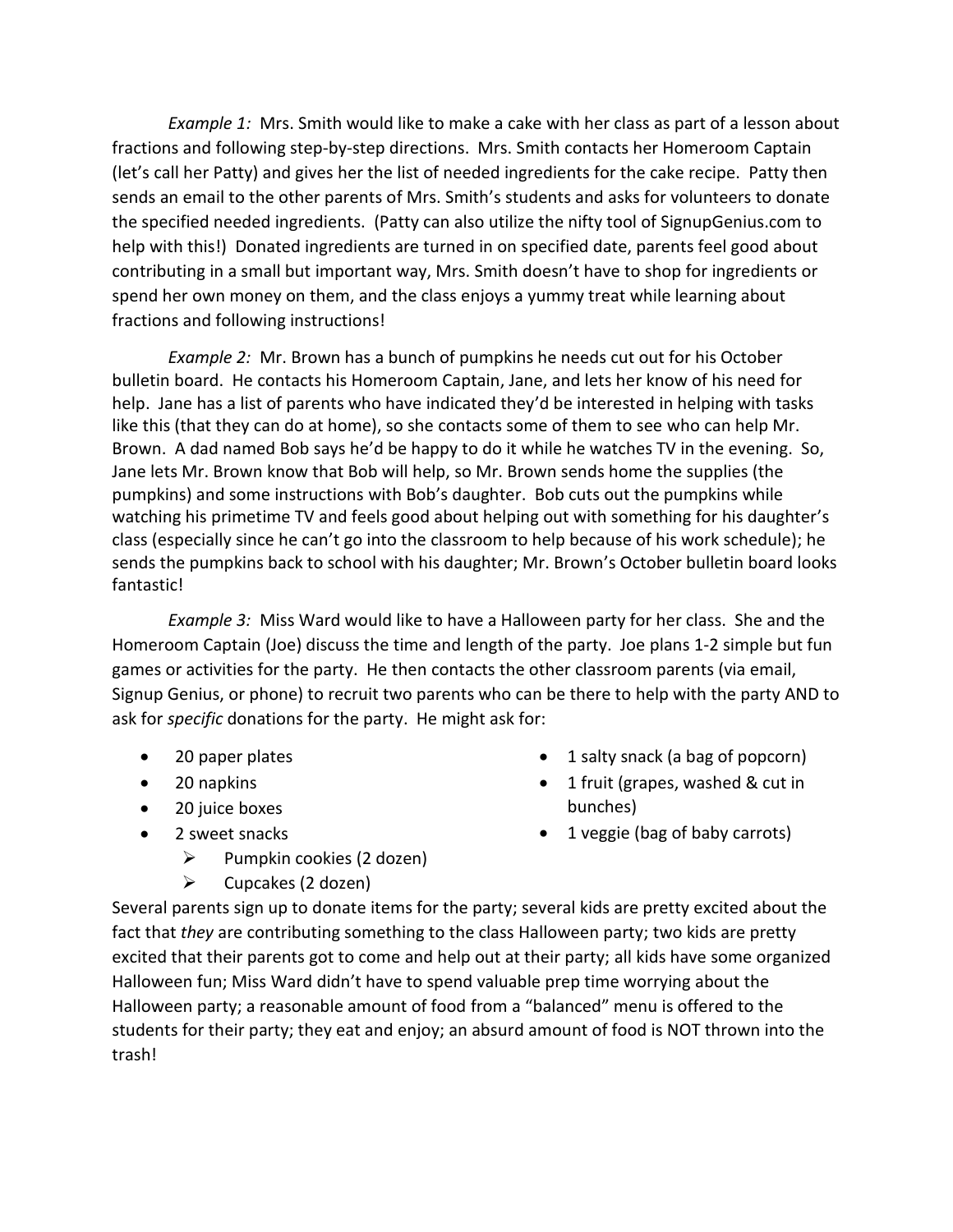*Example 1:* Mrs. Smith would like to make a cake with her class as part of a lesson about fractions and following step-by-step directions. Mrs. Smith contacts her Homeroom Captain (let's call her Patty) and gives her the list of needed ingredients for the cake recipe. Patty then sends an email to the other parents of Mrs. Smith's students and asks for volunteers to donate the specified needed ingredients. (Patty can also utilize the nifty tool of SignupGenius.com to help with this!) Donated ingredients are turned in on specified date, parents feel good about contributing in a small but important way, Mrs. Smith doesn't have to shop for ingredients or spend her own money on them, and the class enjoys a yummy treat while learning about fractions and following instructions!

*Example 2:* Mr. Brown has a bunch of pumpkins he needs cut out for his October bulletin board. He contacts his Homeroom Captain, Jane, and lets her know of his need for help. Jane has a list of parents who have indicated they'd be interested in helping with tasks like this (that they can do at home), so she contacts some of them to see who can help Mr. Brown. A dad named Bob says he'd be happy to do it while he watches TV in the evening. So, Jane lets Mr. Brown know that Bob will help, so Mr. Brown sends home the supplies (the pumpkins) and some instructions with Bob's daughter. Bob cuts out the pumpkins while watching his primetime TV and feels good about helping out with something for his daughter's class (especially since he can't go into the classroom to help because of his work schedule); he sends the pumpkins back to school with his daughter; Mr. Brown's October bulletin board looks fantastic!

*Example 3:* Miss Ward would like to have a Halloween party for her class. She and the Homeroom Captain (Joe) discuss the time and length of the party. Joe plans 1-2 simple but fun games or activities for the party. He then contacts the other classroom parents (via email, Signup Genius, or phone) to recruit two parents who can be there to help with the party AND to ask for *specific* donations for the party. He might ask for:

- 20 paper plates
- 20 napkins
- 20 juice boxes
- 2 sweet snacks
	- $\triangleright$  Pumpkin cookies (2 dozen)
	- $\triangleright$  Cupcakes (2 dozen)
- 1 salty snack (a bag of popcorn)
- 1 fruit (grapes, washed & cut in bunches)
- 1 veggie (bag of baby carrots)

Several parents sign up to donate items for the party; several kids are pretty excited about the fact that *they* are contributing something to the class Halloween party; two kids are pretty excited that their parents got to come and help out at their party; all kids have some organized Halloween fun; Miss Ward didn't have to spend valuable prep time worrying about the Halloween party; a reasonable amount of food from a "balanced" menu is offered to the students for their party; they eat and enjoy; an absurd amount of food is NOT thrown into the trash!